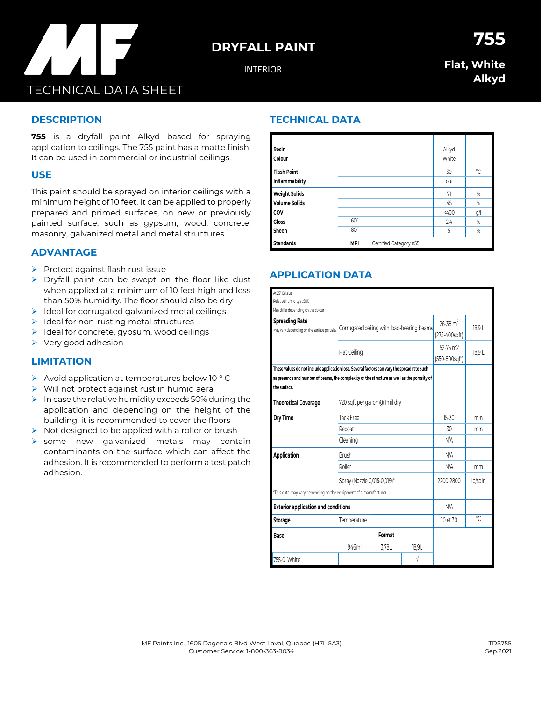# **DRYFALL PAINT**

INTERIOR

## **Flat, White Alkyd**

**755**

## **DESCRIPTION**

**755** is a dryfall paint Alkyd based for spraying application to ceilings. The 755 paint has a matte finish. It can be used in commercial or industrial ceilings.

#### **USE**

This paint should be sprayed on interior ceilings with a minimum height of 10 feet. It can be applied to properly prepared and primed surfaces, on new or previously painted surface, such as gypsum, wood, concrete, masonry, galvanized metal and metal structures.

#### **ADVANTAGE**

➢ Protect against flash rust issue

TECHNICAL DATA SHEET

- ➢ Dryfall paint can be swept on the floor like dust when applied at a minimum of 10 feet high and less than 50% humidity. The floor should also be dry
- $\triangleright$  Ideal for corrugated galvanized metal ceilings
- ➢ Ideal for non-rusting metal structures
- ➢ Ideal for concrete, gypsum, wood ceilings
- ➢ Very good adhesion

## **LIMITATION**

- ➢ Avoid application at temperatures below 10 ° C
- ➢ Will not protect against rust in humid aera
- $\triangleright$  In case the relative humidity exceeds 50% during the application and depending on the height of the building, it is recommended to cover the floors
- $\triangleright$  Not designed to be applied with a roller or brush
- ➢ some new galvanized metals may contain contaminants on the surface which can affect the adhesion. It is recommended to perform a test patch adhesion.

## **TECHNICAL DATA**

| Resin                |            |                        | Alkyd |     |
|----------------------|------------|------------------------|-------|-----|
| Colour               |            |                        | White |     |
| <b>Flash Point</b>   |            |                        | 30    | °C  |
| Inflammability       |            |                        | oui   |     |
| <b>Weight Solids</b> |            |                        | 71    | %   |
| <b>Volume Solids</b> |            |                        | 45    | %   |
| COV                  |            |                        | 400   | g/l |
| <b>Gloss</b>         | $60^\circ$ |                        | 2,4   | %   |
| Sheen                | $80^\circ$ |                        | 5     | %   |
| <b>Standards</b>     | <b>MPI</b> | Certified Category #55 |       |     |

## **APPLICATION DATA**

| At 25° Celsius                                                                              |                                            |        |                          |                |               |  |  |
|---------------------------------------------------------------------------------------------|--------------------------------------------|--------|--------------------------|----------------|---------------|--|--|
| Relative humidity at 50%                                                                    |                                            |        |                          |                |               |  |  |
| May differ depending on the colour                                                          |                                            |        |                          |                |               |  |  |
| <b>Spreading Rate</b><br>May vary depending on the surface porosity                         | Corrugated ceiling with load-bearing beams |        | $26 - 38$ m <sup>2</sup> | 18.9L          |               |  |  |
|                                                                                             |                                            |        | (275-400sqft)            |                |               |  |  |
|                                                                                             |                                            |        | 52-75 m <sub>2</sub>     | 18,9L          |               |  |  |
|                                                                                             | Flat Ceiling                               |        |                          |                | (550-800sqft) |  |  |
| These values do not include application loss. Several factors can vary the spread rate such |                                            |        |                          |                |               |  |  |
| as presence and number of beams, the complexity of the structure as well as the porosity of |                                            |        |                          |                |               |  |  |
| the surface.                                                                                |                                            |        |                          |                |               |  |  |
| <b>Theoretical Coverage</b>                                                                 | 720 sqft per gallon @ 1mil dry             |        |                          |                |               |  |  |
| Dry Time                                                                                    | Tack Free                                  |        | $15 - 30$                | min            |               |  |  |
|                                                                                             | Recoat                                     |        | 30                       | min            |               |  |  |
|                                                                                             | Cleaning                                   |        | N/A                      |                |               |  |  |
| Application                                                                                 | <b>Brush</b>                               |        | N/A                      |                |               |  |  |
|                                                                                             | Roller                                     |        | N/A                      | mm             |               |  |  |
|                                                                                             | Spray (Nozzle 0,015-0,019)*                |        | 2200-2800                | lb/sgin        |               |  |  |
| *This data may vary depending on the equipment of a manufacturer                            |                                            |        |                          |                |               |  |  |
| <b>Exterior application and conditions</b>                                                  | N/A                                        |        |                          |                |               |  |  |
| <b>Storage</b>                                                                              | Temperature                                |        | 10 et 30                 | $\sqrt{\cdot}$ |               |  |  |
| Base                                                                                        |                                            | Format |                          |                |               |  |  |
|                                                                                             | 946ml                                      | 3,78L  | 18.9L                    |                |               |  |  |
| 755-0 White                                                                                 |                                            |        | V                        |                |               |  |  |